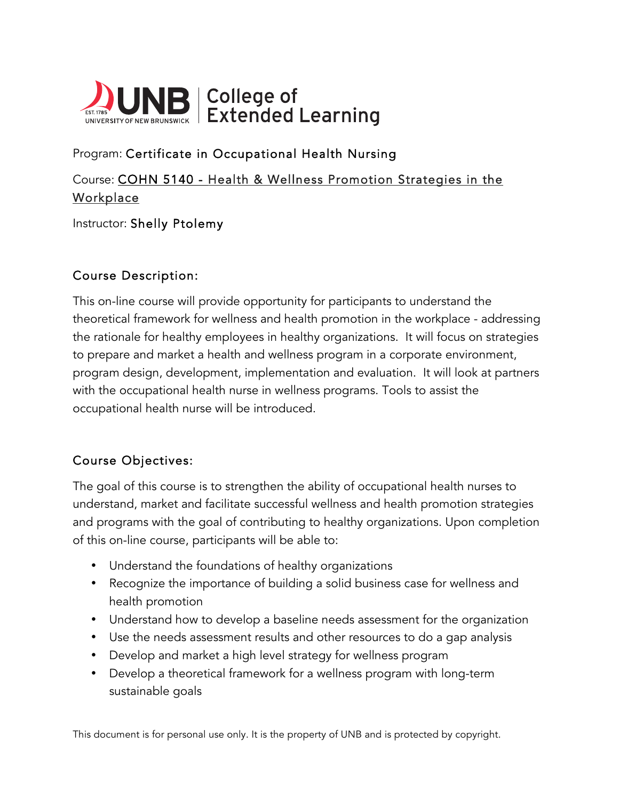

# Program: Certificate in Occupational Health Nursing

Course: COHN 5140 - Health & Wellness Promotion Strategies in the **Workplace** 

Instructor: Shelly Ptolemy

### Course Description:

This on-line course will provide opportunity for participants to understand the theoretical framework for wellness and health promotion in the workplace - addressing the rationale for healthy employees in healthy organizations. It will focus on strategies to prepare and market a health and wellness program in a corporate environment, program design, development, implementation and evaluation. It will look at partners with the occupational health nurse in wellness programs. Tools to assist the occupational health nurse will be introduced.

## Course Objectives:

The goal of this course is to strengthen the ability of occupational health nurses to understand, market and facilitate successful wellness and health promotion strategies and programs with the goal of contributing to healthy organizations. Upon completion of this on-line course, participants will be able to:

- Understand the foundations of healthy organizations
- Recognize the importance of building a solid business case for wellness and health promotion
- Understand how to develop a baseline needs assessment for the organization
- Use the needs assessment results and other resources to do a gap analysis
- Develop and market a high level strategy for wellness program
- Develop a theoretical framework for a wellness program with long-term sustainable goals

This document is for personal use only. It is the property of UNB and is protected by copyright.